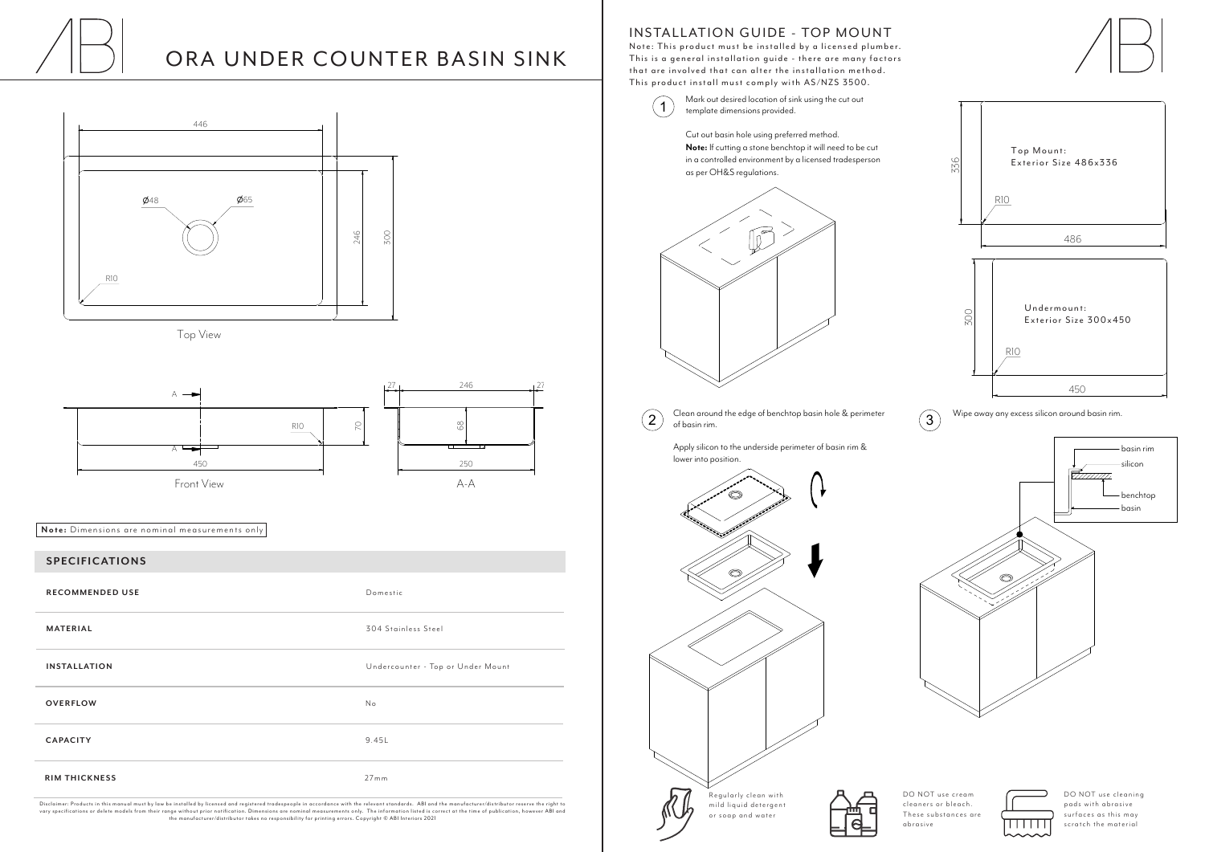## INSTALLATION GUIDE - TOP MOUNT

Note: This product must be installed by a licensed plumber. This is a general installation guide - there are many factors that are involved that can alter the installation method. This product install must comply with AS/NZS 3500.



DO NOT use cream cleaners or bleach. These substances are abrasive



DO NOT use cleaning pads with abrasive surfaces as this may scratch the material

Top View





## ORA UNDER COUNTER BASIN SINK

 $\bigcap$  Mark out desired location of sink using the cut out template dimensions provided template dimensions provided.

| <b>SPECIFICATIONS</b>  |                                   |
|------------------------|-----------------------------------|
| <b>RECOMMENDED USE</b> | Domestic                          |
| <b>MATERIAL</b>        | 304 Stainless Steel               |
| <b>INSTALLATION</b>    | Undercounter - Top or Under Mount |
| <b>OVERFLOW</b>        | No                                |
| <b>CAPACITY</b>        | 9.45L                             |
| <b>RIM THICKNESS</b>   | 27mm                              |

Disclaimer: Products in this manual must by law be installed by licensed and registered tradespeople in accordance with the relevant standards. ABI and the manufacturer/distributor reserve the right to vary specifications or delete models from their range without prior notification. Dimensions are nominal measurements only. The information listed is correct at the time of publication, however ABI and<br>the manufacturer/dis



**Note:** Dimensions are nominal measurements only

Cut out basin hole using preferred method. **Note:** If cutting a stone benchtop it will need to be cut in a controlled environment by a licensed tradesperson as per OH&S regulations.